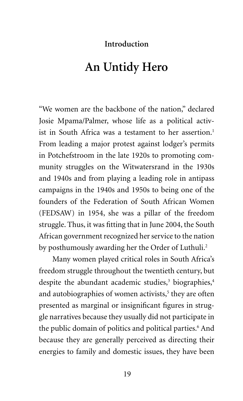## **Introduction**

## **An Untidy Hero**

"We women are the backbone of the nation," declared Josie Mpama/Palmer, whose life as a political activist in South Africa was a testament to her assertion.<sup>1</sup> From leading a major protest against lodger's permits in Potchefstroom in the late 1920s to promoting community struggles on the Witwatersrand in the 1930s and 1940s and from playing a leading role in antipass campaigns in the 1940s and 1950s to being one of the founders of the Federation of South African Women (FEDSAW) in 1954, she was a pillar of the freedom struggle. Thus, it was fitting that in June 2004, the South African government recognized her service to the nation by posthumously awarding her the Order of Luthuli.<sup>2</sup>

Many women played critical roles in South Africa's freedom struggle throughout the twentieth century, but despite the abundant academic studies,<sup>3</sup> biographies,<sup>4</sup> and autobiographies of women activists,<sup>5</sup> they are often presented as marginal or insignificant figures in struggle narratives because they usually did not participate in the public domain of politics and political parties.<sup>6</sup> And because they are generally perceived as directing their energies to family and domestic issues, they have been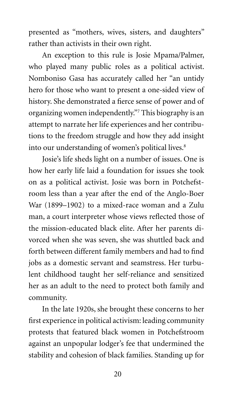presented as "mothers, wives, sisters, and daughters" rather than activists in their own right.

An exception to this rule is Josie Mpama/Palmer, who played many public roles as a political activist. Nomboniso Gasa has accurately called her "an untidy hero for those who want to present a one-sided view of history. She demonstrated a fierce sense of power and of organizing women independently."7 This biography is an attempt to narrate her life experiences and her contributions to the freedom struggle and how they add insight into our understanding of women's political lives.<sup>8</sup>

Josie's life sheds light on a number of issues. One is how her early life laid a foundation for issues she took on as a political activist. Josie was born in Potchefstroom less than a year after the end of the Anglo-Boer War (1899–1902) to a mixed-race woman and a Zulu man, a court interpreter whose views reflected those of the mission-educated black elite. After her parents divorced when she was seven, she was shuttled back and forth between different family members and had to find jobs as a domestic servant and seamstress. Her turbulent childhood taught her self-reliance and sensitized her as an adult to the need to protect both family and community.

In the late 1920s, she brought these concerns to her first experience in political activism: leading community protests that featured black women in Potchefstroom against an unpopular lodger's fee that undermined the stability and cohesion of black families. Standing up for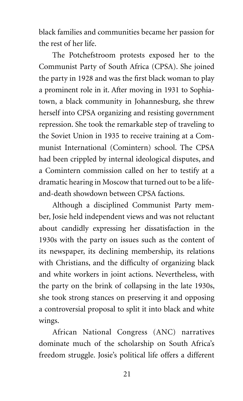black families and communities became her passion for the rest of her life.

The Potchefstroom protests exposed her to the Communist Party of South Africa (CPSA). She joined the party in 1928 and was the first black woman to play a prominent role in it. After moving in 1931 to Sophiatown, a black community in Johannesburg, she threw herself into CPSA organizing and resisting government repression. She took the remarkable step of traveling to the Soviet Union in 1935 to receive training at a Communist International (Comintern) school. The CPSA had been crippled by internal ideological disputes, and a Comintern commission called on her to testify at a dramatic hearing in Moscow that turned out to be a lifeand-death showdown between CPSA factions.

Although a disciplined Communist Party member, Josie held independent views and was not reluctant about candidly expressing her dissatisfaction in the 1930s with the party on issues such as the content of its newspaper, its declining membership, its relations with Christians, and the difficulty of organizing black and white workers in joint actions. Nevertheless, with the party on the brink of collapsing in the late 1930s, she took strong stances on preserving it and opposing a controversial proposal to split it into black and white wings.

African National Congress (ANC) narratives dominate much of the scholarship on South Africa's freedom struggle. Josie's political life offers a different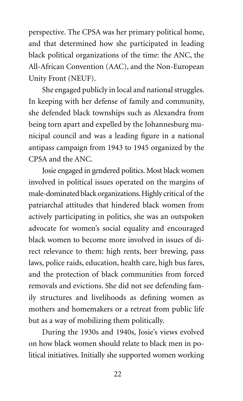perspective. The CPSA was her primary political home, and that determined how she participated in leading black political organizations of the time: the ANC, the All-African Convention (AAC), and the Non-European Unity Front (NEUF).

She engaged publicly in local and national struggles. In keeping with her defense of family and community, she defended black townships such as Alexandra from being torn apart and expelled by the Johannesburg municipal council and was a leading figure in a national antipass campaign from 1943 to 1945 organized by the CPSA and the ANC.

Josie engaged in gendered politics. Most black women involved in political issues operated on the margins of male-dominated black organizations. Highly critical of the patriarchal attitudes that hindered black women from actively participating in politics, she was an outspoken advocate for women's social equality and encouraged black women to become more involved in issues of direct relevance to them: high rents, beer brewing, pass laws, police raids, education, health care, high bus fares, and the protection of black communities from forced removals and evictions. She did not see defending family structures and livelihoods as defining women as mothers and homemakers or a retreat from public life but as a way of mobilizing them politically.

During the 1930s and 1940s, Josie's views evolved on how black women should relate to black men in political initiatives. Initially she supported women working